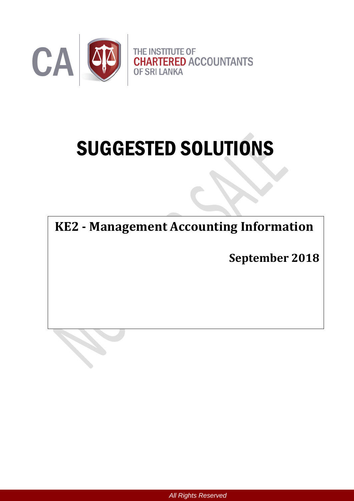

# SUGGESTED SOLUTIONS

**KE2 - Management Accounting Information**

**September 2018**

*All Rights Reserved*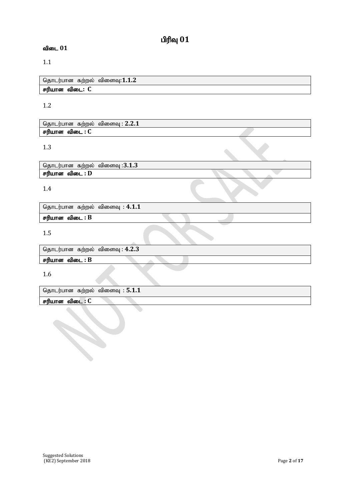# $O(f)$ வு $O(1)$

### $\mathbf{d}$ டை  $01$

### 1.1

தொடர்பான கற்றல் விளைவு:1.1.2 சரியான விடை: C

### 1.2

தொடர்பான கற்றல் விளைவு : 2.2.1 சரியான விடை : C

### 1.3

தொடர்பான கற்றல் விளைவு :3.1.3 சரியான விடை : D

### 1.4

தொடர்பான கற்றல் விளைவு : 4.1.1

# 1.5

தொடர்பான கற்றல் விளைவு : 4.2.3

### $F$ ரியான விடை :  $B$

 $F$ ரியான விடை :  $B$ 

1.6

தொடர்பான கற்றல் விளைவு : **5.1.1** 

சரியான விடை : C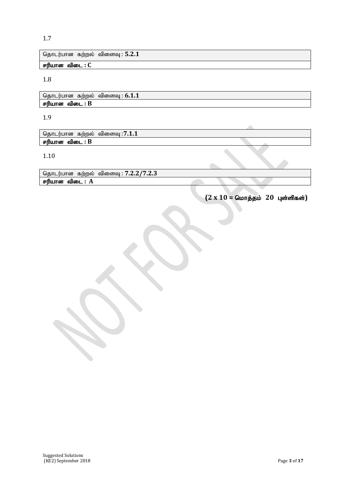தொடர்பான கற்றல் விளைவு : **5.2.1** 

சரியான விடை : C

1.8

தொடர்பான கற்றல் விளைவு : **6.1.1** சரியான விடை : B

1.9

தொடர்பான கற்றல் விளைவு :**7.1.1** சரியான விடை : B

1.10

தொடர்பான கற்றல் விளைவு : 7.2*.*2/7*.*2.3 சரியான விடை : A

 $(2 \times 10 =$  மொத்தம் **20 புள்ளிகள்**)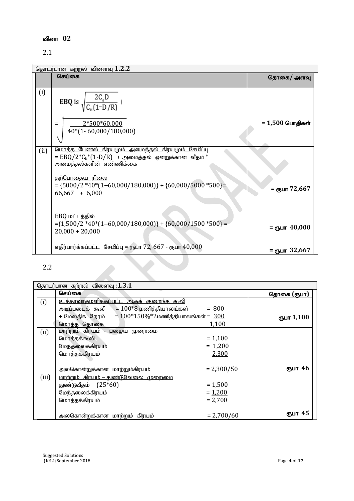# வினா 02

### 2.1

|      | தொடர்பான கற்றல் விளைவு 1.2.2                                                                                                                         |                   |  |  |  |  |
|------|------------------------------------------------------------------------------------------------------------------------------------------------------|-------------------|--|--|--|--|
|      | செய்கை                                                                                                                                               | தொகை/ அளவு        |  |  |  |  |
|      |                                                                                                                                                      |                   |  |  |  |  |
| (i)  | <b>EBQ</b> is $\sqrt{\frac{2C_o D}{C_w(1-D/R)}}$                                                                                                     |                   |  |  |  |  |
|      | 2*500*60,000<br>$=$<br>40*(1-60,000/180,000)                                                                                                         | = 1,500 பொதிகள்   |  |  |  |  |
| (ii) | <u>மொத்த பேணல் கிரயமும் அமைத்தல் கிரயமும் சேமிப்பு</u><br>$=$ EBQ/2*C <sub>h</sub> *(1-D/R) + அமைத்தல் ஒன்றுக்கான வீதம் *<br>அமைத்தல்களின் எண்ணிக்கை |                   |  |  |  |  |
|      | <u>தற்போதைய நிலை</u><br>$=$ {5000/2 *40*(1-60,000/180,000)} + {60,000/5000 *500} =<br>$66,667 + 6,000$                                               | = ரூபா 72,667     |  |  |  |  |
|      | EBO மட்டத்தில்<br>$=\{1,500/2*40*(1-60,000/180,000)\} + \{60,000/1500*500\} =$<br>$20,000 + 20,000$                                                  | $=$ ரூபா $40,000$ |  |  |  |  |
|      | எதிர்பார்க்கப்பட்ட சேமிப்பு = ரூபா 72, 667 - ரூபா $40,000$                                                                                           | $=$ ரூபா 32,667   |  |  |  |  |
| 2.2  | 1 1 1<br>$\bigcap$                                                                                                                                   |                   |  |  |  |  |

# 2.2

|       | தொடர்பான கற்றல் விளைவு :1.3.1                          |              |             |  |  |  |
|-------|--------------------------------------------------------|--------------|-------------|--|--|--|
|       | செய்கை                                                 |              | தொகை (ரூபா) |  |  |  |
| (i)   | உத்தரவாதமளிக்கப்பட்ட ஆகக் குறைந்த கூலி                 |              |             |  |  |  |
|       | $=100*8$ மணித்தியாலங்கள்<br>அடிப்படைக் கூலி            | $= 800$      |             |  |  |  |
|       | + மேலதிக நேரம் = $100*150\%*2$ மணித்தியாலங்கள் = $300$ |              | ரூபா 1,100  |  |  |  |
|       | மொத்த தொகை                                             | 1,100        |             |  |  |  |
| (ii)  | <u> மாற்றும் கிரயம் - பழைய முறைமை</u>                  |              |             |  |  |  |
|       | மொத்தக்கூலி                                            | $= 1,100$    |             |  |  |  |
|       | மேந்தலைக்கிரயம்                                        | $= 1,200$    |             |  |  |  |
|       | மொத்தக்கிரயம்                                          | 2,300        |             |  |  |  |
|       |                                                        |              |             |  |  |  |
|       | அலகொன்றுக்கான மாற்றும்கிரயம்                           | $= 2,300/50$ | ரூபா 46     |  |  |  |
| (iii) | <u> மாற்றும் கிரயம் – துண்டுவேலை முறைமை</u>            |              |             |  |  |  |
|       | துண்டுவீதம் (25*60)                                    | $= 1,500$    |             |  |  |  |
|       | மேந்தலைக்கிரயம்                                        | $= 1,200$    |             |  |  |  |
|       | மொத்தக்கிரயம்                                          | $= 2,700$    |             |  |  |  |
|       |                                                        |              |             |  |  |  |
|       | அலகொன்றுக்கான மாற்றும் கிரயம்                          | $= 2,700/60$ | ரூபா 45     |  |  |  |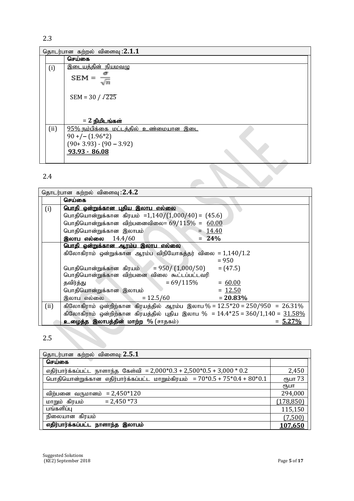| தொடர்பான கற்றல் விளைவு :2.1.1 |                                       |  |  |  |
|-------------------------------|---------------------------------------|--|--|--|
|                               | செய்கை                                |  |  |  |
| (i)                           | இடையத்தின் நியமவழு                    |  |  |  |
|                               | $SEM =$                               |  |  |  |
|                               | $SEM = 30 / \sqrt{225}$               |  |  |  |
|                               |                                       |  |  |  |
|                               | $= 2$ நிமிடங்கள்                      |  |  |  |
| (ii)                          | 95% நம்பிக்கை மட்டத்தில் உண்மையான இடை |  |  |  |
|                               | $90 + (- (1.96)^*2)$                  |  |  |  |
|                               | $(90+3.93) - (90-3.92)$               |  |  |  |
|                               | 93.93 - 86.08                         |  |  |  |
|                               |                                       |  |  |  |

# 2.4

| 2.4  |                                                                                 |             |
|------|---------------------------------------------------------------------------------|-------------|
|      | தொடர்பான கற்றல் விளைவு :2.4.2                                                   |             |
|      | செய்கை                                                                          |             |
| (i)  | பொதி ஒன்றுக்கான புதிய இலாப எல்லை                                                |             |
|      | பொதியொன்றுக்கான கிரயம் =1,140/(1,000/40) = $(45.6)$                             |             |
|      | பொதியொன்றுக்கான விற்பனைவிலை= 69/115% = 60.00                                    |             |
|      | பொதியொன்றுக்கான இலாபம்<br>$= 14.40$                                             |             |
|      | இலாப எல்லை $14.4/60$<br>24%                                                     |             |
|      | பொதி ஒன்றுக்கான ஆரம்ப இலாப எல்லை                                                |             |
|      | கிலோகிராம் ஒன்றுக்கான ஆரம்ப விநியோகத்தர் விலை = $1,140/1.2$                     |             |
|      | $= 950$                                                                         |             |
|      | பொதியொன்றுக்கான கிரயம்     = 950/ $(1,000/50)$ = (47.5)                         |             |
|      | பொதியொன்றுக்கான விற்பனை விலை கூட்டப்பட்டவரி                                     |             |
|      | $= 69/115\% = 60.00$<br>தவிர்த்து                                               |             |
|      | $= 12.50$<br>பொதியொன்றுக்கான இலாபம்                                             |             |
|      | இலாப எல்லை<br>$= 12.5/60$                                                       | $= 20.83\%$ |
| (ii) | கிலோகிராம் ஒன்றிற்கான கிரயத்தில் ஆரம்ப இலாப $\%$ = 12.5*20 = 250/950 = 26.31%   |             |
|      | கிலோகிராம் ஒன்றிற்கான கிரயத்தில் புதிய இலாப $\%$ = 14.4*25 = 360/1,140 = 31.58% |             |
|      | உழைத்த இலாபத்தின் மாற்ற % (சாதகம்)                                              | $= 5.27\%$  |

# 2.5

| தொடர்பான கற்றல் விளைவு: 2.5.1                                                |                |  |  |  |
|------------------------------------------------------------------------------|----------------|--|--|--|
| செய்கை                                                                       |                |  |  |  |
| எதிர்பார்க்கப்பட்ட நாளாந்த கேள்வி = 2,000*0.3 + 2,500*0.5 + 3,000 * 0.2      | 2,450          |  |  |  |
| பொதியொன்றுக்கான எதிர்பார்க்கப்பட்ட மாறும்கிரயம் = $70*0.5 + 75*0.4 + 80*0.1$ | ரூபா 73        |  |  |  |
|                                                                              | ₫ҦШΠ           |  |  |  |
| விற்பனை வருமானம் = 2,450 $*120$                                              | 294,000        |  |  |  |
| $= 2,450 * 73$<br>மாறும் கிரயம்                                              | (178, 850)     |  |  |  |
| பங்களிப்பு                                                                   | 115,150        |  |  |  |
| நிலையான கிரயம்                                                               | (7,500)        |  |  |  |
| எதிர்பார்க்கப்பட்ட நாளாந்த இலாபம்                                            | <u>107.650</u> |  |  |  |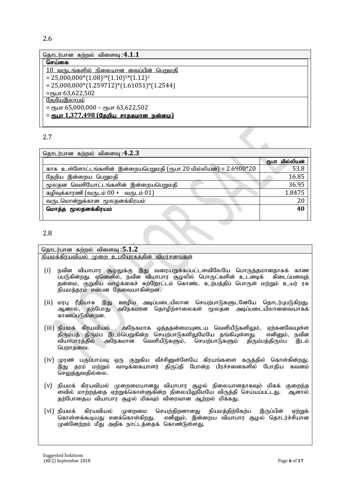| தொடர்பான கற்றல் விளைவு :4.1.1                   |  |  |  |  |
|-------------------------------------------------|--|--|--|--|
| செய்கை                                          |  |  |  |  |
| <u>10 வருடங்களில் நிலையான வைப்பின் பெறுமதி</u>  |  |  |  |  |
| $= 25,000,000*(1.08)^{3*}(1.10)^{5*}(1.12)^{2}$ |  |  |  |  |
| $= 25,000,000*(1.259712)*(1.61051)*(1.2544)$    |  |  |  |  |
| $=$ спушт 63,622,502                            |  |  |  |  |
| <u>தேறியஇலாபம்</u>                              |  |  |  |  |
| = ரூபா 65,000,000 – ரூபா 63,622,502             |  |  |  |  |
| <u>= ரூபா 1,377,498 (தேறிய சாதகமான நன்மை)</u>   |  |  |  |  |
|                                                 |  |  |  |  |

| தொடர்பான கற்றல் விளைவு :4.2.3                                      |                   |  |  |  |  |
|--------------------------------------------------------------------|-------------------|--|--|--|--|
|                                                                    | மில்லியன்<br>ரூபா |  |  |  |  |
| காசு உள்ளோட்டங்களின் இன்றையபெறுமதி (ரூபா 20 மில்லியன்) = 2.6900*20 | 53.8              |  |  |  |  |
| தேறிய இன்றைய பெறுமதி                                               | 16.85             |  |  |  |  |
| மூலதன வெளியோட்டங்களின் இன்றையபெறுமதி                               | 36.95             |  |  |  |  |
| கழிவுக்காரணி (வருடம் $00 + $ வருடம் $01$ )                         | 1.8475            |  |  |  |  |
| வருடமொன்றுக்கான மூலதனக்கிரயம்                                      | 20                |  |  |  |  |
| மொத்த மூலதனக்கிரயம்                                                | 40                |  |  |  |  |
|                                                                    |                   |  |  |  |  |

2.8

#### தொடர்பான கற்றல் விளைவு :5.1.2 .<br>நியமக்கிரயவியல் முறை உபயோகத்தின் விமர்சனங்கள்

- $(i)$  நவீன வியாபார சூழலுக்கு இது வரையறுக்கப்பட்டளவிலேயே பொருத்தமானதாகக் காண .<br>ப்படுகின்றது. ஏனெனில், நவீன வியாபார சூழலில் பொருட்களின் உடனடிக் கிடைப்பனவுத் தன்மை, குறுகிய வாழ்க்கைச் சுற்றோட்டம் கொண்ட உற்பத்திப் பொருள் மற்றும் உயர் ரக .<br>நியமத்தரம் என்பன தேவையாகின்றன.
- (ii) மரபு ரீதியாக இது ஊழிய அடிப்படையிலான செயற்பாடுகளுடனேயே தொடர்புபடுகிறது. ஆனால், தற்போது அநேகமான தொழிற்சாலைகள் மூலதன அடிப்படையிலானவையாகக் காணப்படுகின்றன.
- (iii) நியமக் கிரயவியல் அநேகமாக ஒத்ததன்மையுடைய வெளியீடுகளிலும், ஏற்கனவேயுள்ள<br>திரும்பத் திரும்ப இடம்பெறுகின்ற செயற்பாடுகளிலுமேயே தங்கியுள்ளது. எனினும், நவீன .திரும்பத் திரும்ப இடம்பெறுகின்ற செயற்பாடுகளிலுமேயே தங்கியுள்ளது. எனினும், நவீன<br>வியாபாாக்கில் அநேகமான வெளியீடுகளும். செயற்பாடுகளும் கிரும்பக்கிரும்ப இடம் ்வியாபாரத்தில் அநேகமான வெளியீடுகளும், செயற்பாடுகளும் திரும்பத்திரும்ப பெறாதவை.
- (iv) முரண் பகுப்பாய்வு ஒரு குறுகிய வீச்சினுள்ளேயே கிரயங்களை கருத்தில் கொள்கின்றது. .<br>இது தரம் மற்றும் வாடிக்கையாளர் திருப்தி போன்ற பிரச்சனைகளில் போதிய கவனம் செலுத்துவதில்லை.
- (v) நியமக் கிரயவியல் முறைமையானது வியாபார சூழல் நிலையானதாகவும் மிகக் குறைந்த .<br>ளவில் மாற்றத்தை ஏற்றுக்கொள்ளுகின்ற நிலையிலுமேயே விருத்தி செய்யப்பட்டது. ஆனால் தற்போதைய வியாபார சூழல் மிகவும் விரைவான ஆற்றல் மிக்கது.
- (vi) நியமக் கிரயவியல் முறைமை செயற்திறனானது நியமத்திற்கேற்ப இருப்பின் ஏற்றுக்<br>கொள்ளக்கூடியது எனக்கொள்கிறது. எனிமை், இன்றைய வியாபார கூழல் தொடர்ச்சியான எனினும், இன்றைய வியாபார சூழல் தொடர்ச்சியான முன்னேற்றம் மீது அதிக நாட்டத்தைக் கொண்டுள்ளது.

Suggested Solutions (KE2) September 2018 Page **6** of **17**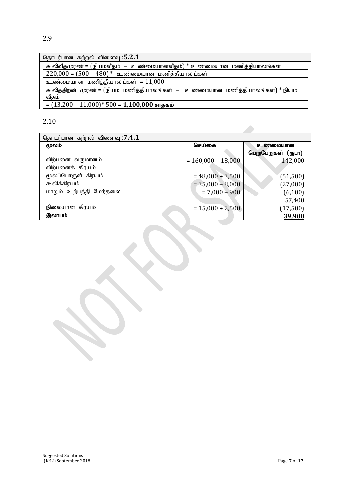| தொடர்பான கற்றல் விளைவு :5.2.1                                                |
|------------------------------------------------------------------------------|
| கூலிவீதமுரண் = (நியமவீதம்  —  உண்மையானவீதம்) * உண்மையான  மணித்தியாலங்கள்     |
| $220,000 = (500 - 480)^*$ உண்மையான மணித்தியாலங்கள்                           |
| உண்மையான மணித்தியாலங்கள் = $11,000$                                          |
| கூலித்திறன் முரண் = (நியம மணித்தியாலங்கள் – உண்மையான மணித்தியாலங்கள்) * நியம |
| வீதம்                                                                        |
| $= (13,200 - 11,000)^*$ 500 = 1,100,000 சாதகம்                               |

| தொடர்பான கற்றல் விளைவு :7.4.1     |                      |                    |  |  |  |
|-----------------------------------|----------------------|--------------------|--|--|--|
| மூலம்                             | செய்கை               | உண்மையான           |  |  |  |
|                                   |                      | பெறுபேறுகள் (ரூபா) |  |  |  |
| விற்பனை வருமானம்                  | $= 160,000 - 18,000$ | 142,000            |  |  |  |
| <u>விற்பனைக் கிரயம்</u>           |                      |                    |  |  |  |
| மூலப்பொருள் கிரயம்                | $= 48,000 + 3,500$   | (51, 500)          |  |  |  |
| கூலிக்கிரயம்                      | $= 35,000 - 8,000$   | (27,000)           |  |  |  |
| <u>மாறும் உற்பத்தி</u><br>மேந்தலை | $= 7,000 - 900$      | (6,100)            |  |  |  |
|                                   |                      | 57,400             |  |  |  |
| நிலையான கிரயம்                    | $= 15,000 + 2,500$   | (17, 500)          |  |  |  |
| இலாபம்                            |                      | 39,900             |  |  |  |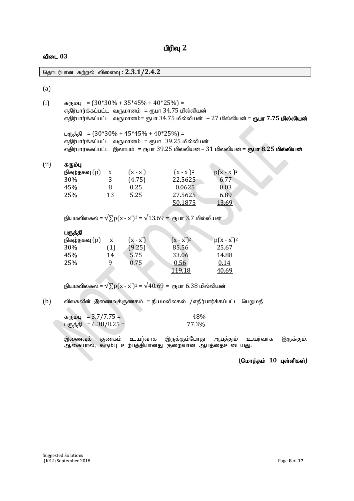# **பிரிவு** 2

### $\mathbf{d}$ டை  $03$

|      | தொடர்பான கற்றல் விளைவு : 2.3.1/2.4.2                                                                                                                                                                                                 |                                                        |                                                                                                   |                                                              |                                                                                                |  |
|------|--------------------------------------------------------------------------------------------------------------------------------------------------------------------------------------------------------------------------------------|--------------------------------------------------------|---------------------------------------------------------------------------------------------------|--------------------------------------------------------------|------------------------------------------------------------------------------------------------|--|
| (a)  |                                                                                                                                                                                                                                      |                                                        |                                                                                                   |                                                              |                                                                                                |  |
| (i)  | $\sigma$ <sub>(b</sub> io <sub>H</sub> = $(30*30\% + 35*45\% + 40*25\%) =$<br>எதிர்பார்க்கப்பட்ட வருமானம் = ரூபா 34.75 மில்லியன்<br>எதிர்பார்க்கப்பட்ட  வருமானம்= ரூபா 34.75 மில்லியன்   – 27 மில்லியன் = <b>ரூபா 7.75 மில்லியன்</b> |                                                        |                                                                                                   |                                                              |                                                                                                |  |
|      |                                                                                                                                                                                                                                      |                                                        | பருத்தி = $(30*30\% + 45*45\% + 40*25\%) =$<br>எதிர்பார்க்கப்பட்ட வருமானம் = ரூபா 39.25 மில்லியன் |                                                              | எதிர்பார்க்கப்பட்ட  இலாபம்  = ரூபா 39.25 மில்லியன் – 31 மில்லியன் = <b>ரூபா 8.25 மில்லியன்</b> |  |
| (ii) | கரும்பு<br>நிகழ்தகவு (p)<br>30%<br>45%<br>25%                                                                                                                                                                                        | $\boldsymbol{\mathrm{X}}$<br>3 <sup>1</sup><br>8<br>13 | $(x - x)$<br>(4.75)<br>0.25<br>5.25                                                               | $(x - x^{-})^2$<br>22.5625<br>0.0625<br>27.5625<br>50.1875   | $p(x - x^{-})^2$<br>6.77<br>0.03<br>6.89<br>13.69                                              |  |
|      |                                                                                                                                                                                                                                      |                                                        | நியமவிலகல் = $\sqrt{\sum p(x - x^2)^2} = \sqrt{13.69} = \pi$ நபா 3.7 மில்லியன்                    |                                                              |                                                                                                |  |
|      | பருத்தி<br>நிகழ்தகவு (p)<br>30%<br>45%<br>25%                                                                                                                                                                                        | $\mathbf{X}$<br>(1)<br>14<br>9                         | $(X - \overline{X})$<br>(9.25)<br>5.75<br>0.75                                                    | $(x - x^{-})^{2}$<br>85.56<br>33.06<br>0.56<br><u>119.18</u> | $p(x - x^{-})^2$<br>25.67<br>14.88<br>0.14<br>40.69                                            |  |
|      |                                                                                                                                                                                                                                      |                                                        | நியமவிலகல் = $\sqrt{\sum p(x - x^2)^2} = \sqrt{40.69} =$ ரூபா 6.38 மில்லியன்                      |                                                              |                                                                                                |  |
| (b)  |                                                                                                                                                                                                                                      |                                                        |                                                                                                   |                                                              | விலகலின் இணைவுக்குணகம் = நியமவிலகல் /எதிர்பார்க்கப்பட்ட பெறுமதி                                |  |
|      | $\pi$ (hiby = 3.7/7.75 =<br>பருத்தி = 6.38/8.25 =                                                                                                                                                                                    |                                                        |                                                                                                   | 48%<br>77.3%                                                 |                                                                                                |  |

இணைவுக் குணகம் உயர்வாக இருக்கும்போது ஆபத்தும் உயர்வாக இருக்கும். ஆகையால், கரும்பு உற்பத்தியானது குறைவான ஆபத்தைஉடையது.

(மொத்தம் 10 புள்ளிகள்)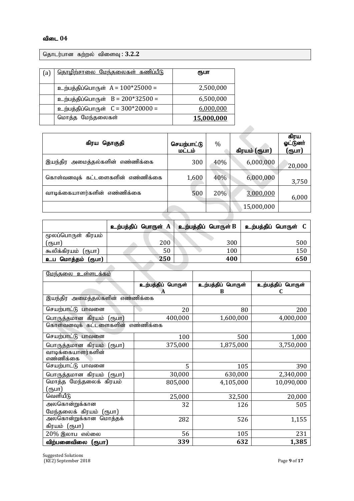### விடை 04

தொடர்பான கற்றல் விளைவு : 3.2.2

| a | <u>தொழிற்சாலை மேந்தலைகள் கணிப்பீடு</u> | ரூபா       |
|---|----------------------------------------|------------|
|   | உற்பத்திப்பொருள் $A = 100*25000 =$     | 2,500,000  |
|   | உற்பத்திப்பொருள் $B = 200*32500 =$     | 6,500,000  |
|   | உற்பத்திப்பொருள் C = 300*20000 =       | 6,000,000  |
|   | மொத்த மேந்தலைகள்                       | 15,000,000 |

| கிரய தொகுதி                      | செயற்பாட்டு<br>மட்டம் | $\%$ | கிரயம் (ரூபா) | கிரய<br>ஓட்டுனர்<br>(ருபா) |
|----------------------------------|-----------------------|------|---------------|----------------------------|
| இயந்திர அமைத்தல்களின் எண்ணிக்கை  | 300                   | 40%  | 6,000,000     | 20,000                     |
| கொள்வனவுக் கட்டளைகளின் எண்ணிக்கை | 1,600                 | 40%  | 6,000,000     | 3,750                      |
| வாடிக்கையாளர்களின் எண்ணிக்கை     | 500                   | 20%  | 3,000,000     | 6,000                      |
|                                  |                       |      | 15,000,000    |                            |
|                                  |                       |      |               |                            |

|                     |     | உற்பத்திப் பொருள் A   உற்பத்திப் பொருள் B | உற்பத்திப் பொருள் C |
|---------------------|-----|-------------------------------------------|---------------------|
| மூலப்பொருள் கிரயம்  |     |                                           |                     |
| (ரூபா)              | 200 | 300                                       | 500                 |
| கூலிக்கிரயம் (ரூபா) | 50  | 100                                       | 150                 |
| உப மொத்தம் (ரூபா)   | 250 | 400                                       | 650                 |
|                     |     |                                           |                     |

| <u>மேந்தலை உள்ளடக்கம்</u>          |                   |                   |                   |
|------------------------------------|-------------------|-------------------|-------------------|
|                                    | உற்பத்திப் பொருள் | உற்பத்திப் பொருள் | உற்பத்திப் பொருள் |
| இயந்திர அமைத்தல்களின் எண்ணிக்கை    | A                 | B                 |                   |
| செயற்பாட்டு பாவனை                  | 20                | 80                | 200               |
| பொருத்தமான கிரயம்<br><u>(ரூபா)</u> | 400,000           | 1,600,000         | 4,000,000         |
| கொள்வனவுக் கட்டளைகளின் எண்ணிக்கை   |                   |                   |                   |
| செயற்பாட்டு பாவனை                  | 100               | 500               | 1,000             |
| பொருத்தமான கிரயம்<br>(ரூபா)        | 375,000           | 1,875,000         | 3,750,000         |
| வாடிக்கையாளர்களின்                 |                   |                   |                   |
| எண்ணிக்கை                          |                   |                   |                   |
| செயற்பாட்டு பாவனை                  | 5                 | 105               | 390               |
| பொருத்தமான கிரயம்<br>(ரூபா)        | 30,000            | 630,000           | 2,340,000         |
| மொத்த மேந்தலைக் கிரயம்             | 805,000           | 4,105,000         | 10,090,000        |
| (ரூபா)                             |                   |                   |                   |
| வெளியீடு                           | 25,000            | 32,500            | 20,000            |
| அலகொன்றுக்கான                      | 32                | 126               | 505               |
| மேந்தலைக் கிரயம் (ரூபா)            |                   |                   |                   |
| அலகொன்றுக்கான மொத்தக்              | 282               | 526               | 1,155             |
| கிரயம் (ரூபா)                      |                   |                   |                   |
| 20% இலாபளல்லை                      | 56                | 105               | 231               |
| விற்பனைவிலை (ரூபா)                 | 339               | 632               | 1,385             |

Suggested Solutions (KE2) September 2018 Page **9** of **17**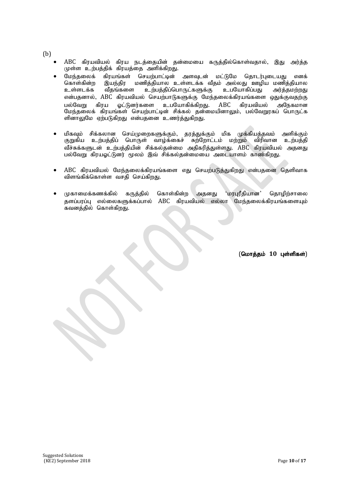(b)

- ABC கிரயவியல் கிரய நடத்தையின் தன்மையை கருத்தில்கொள்வதால், இது அர்த்த முள்ள உற்பத்திக் கிரயத்தை அளிக்கிறது.
- மேந்தலைக் கிரயங்கள் செயற்பாட்டின் அளவுடன் மட்டுமே தொடர்புடையது எனக<mark>்</mark> கொள்கின்ற இயந்திர மணித்தியால உள்ளடக்க வீதம் அல்லது ஊழிய மணித்தியால உள்ளடக்க வீதங்களை உற்பத்திப்பொருட்களுக்கு உபயோகிப்பது அர்த்தமற்றது என்பகனால், ABC கிரயவியல் செயற்பாடுகளுக்கு மேந்தலைக்கிரயங்களை ஒதுக்குவதற்கு பல்வேறு கிரய ஓட்டுனர்களை உபயோகிக்கிறது. ABC கிரயவியல் அநேகமான மேந்தலைக் கிரயங்கள் செயற்பாட்டின் சிக்கல் தன்மையினாலும், பல்வேறுரகப் பொருட்க ளினாலுமே ஏற்படுகிறது என்பதனை உணர்த்துகிறது.
- மிகவும் சிக்கலான செய்முறைகளுக்கும், தரத்துக்கும் மிக முக்கியத்தவம் அளிக்கும் குறுகிய உற்பத்திப் பொருள் வாழ்க்கைச் சுற்றோட்டம் மற்றும் விரிவான உற்பத்தி .<br>வீச்சுக்களுடன் உற்பத்தியின் சிக்கலதன்மை அதிகரித்துள்ளது. ABC கிரயவியல் அதனது பல்வேறு கிரயஓட்டுனர் மூலம் இவ் சிக்கல்தன்மையை அடையாளம் காண்கிறது.
- ABC கிரயவியல் மேந்தலைக்கிரயங்களை எது செயற்படுத்துகிறது என்பதனை தெளிவாக விளங்கிக்கொள்ள வசதி செய்கிறது.
- முகாமைக்கணக்கில் கருக்கில் கொள்கின்ற அகனது 'மரபுரீதியான' தொமிற்சாலை தளப்பரப்பு எல்லைகளுக்கப்பால் ABC கிரயவியல் எல்லா மேந்தலைக்கிரயங்களையும் .<br>கவனத்தில் கொள்கி<u>றத</u>ு.

(மொத்தம் 10 புள்ளிகள்)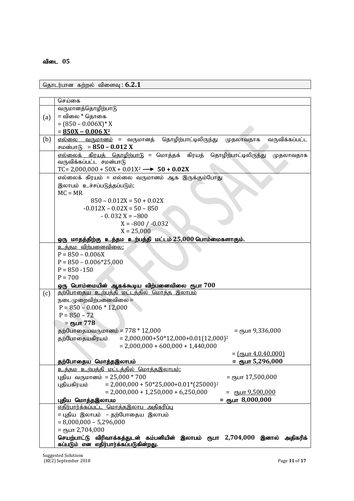### விடை 05

தொடர்பான கற்றல் விளைவு : 6.2.1

|     | செய்கை                                                                                            |
|-----|---------------------------------------------------------------------------------------------------|
|     | வருமானத்தொழிற்பாடு                                                                                |
|     | = விலை * தொகை                                                                                     |
| (a) | $= (850 - 0.006X)^* X$                                                                            |
|     | $= 850X - 0.006 X^2$                                                                              |
| (b) | <u>எல்லை வருமானம்</u> = வருமானத்<br>தொழிற்பாட்டிலிருந்து<br>வருவிக்கப்பட்ட<br>முதலாவதாக           |
|     | சமன்பாடு = 850 – 0.012 X                                                                          |
|     | <u>எல்லைக் கிரயத் தொழிற்பாடு</u> = மொத்தக் கிரயத்<br>தொழிற்பாட்டிலிருந்து<br>முதலாவதாக            |
|     | வருவிக்கப்பட்ட சமன்பாடு                                                                           |
|     | TC= 2,000,000 + 50X + 0.01X <sup>2</sup> $\longrightarrow$ 50 + 0.02X                             |
|     | எல்லைக் கிரயம் = எல்லை வருமானம் ஆக இருக்கும்போது                                                  |
|     | இலாபம் உச்சப்படுத்தப்படும்;                                                                       |
|     | $MC = MR$                                                                                         |
|     | $850 - 0.012X = 50 + 0.02X$                                                                       |
|     | $-0.012X - 0.02X = 50 - 850$                                                                      |
|     | $-0.032X = -800$                                                                                  |
|     |                                                                                                   |
|     | $X = -800 / -0.032$                                                                               |
|     | $X = 25,000$                                                                                      |
|     | ஒரு மாதத்திற்கு உத்தம உற்பத்தி மட்டம் 25,000 பொம்மைகளாகும்.                                       |
|     | உத்தம விற்பனைவிலை;                                                                                |
|     | $P = 850 - 0.006X$                                                                                |
|     | $P = 850 - 0.006*25,000$                                                                          |
|     | $P = 850 - 150$                                                                                   |
|     | $P = 700$                                                                                         |
|     | ஒரு பொம்மையின் ஆகக்கூடிய விற்பனைவிலை ரூபா $700$                                                   |
| (c) | தற்போதைய உற்பத்தி மட்டத்தில் மொத்த இலாபம்                                                         |
|     | நடைமுறைவிற்பனைவிலை =<br>$P = 850 - 0.006 * 12,000$                                                |
|     | $P = 850 - 72$                                                                                    |
|     |                                                                                                   |
|     | = ரூபா 778                                                                                        |
|     | தற்போதையவருமானம் = $778 * 12,000$<br>= ரூபா 9,336,000<br>$= 2,000,000+50*12,000+0.01(12,000)^2$   |
|     | தற்போதையகிரயம்                                                                                    |
|     | $= 2,000,000 + 600,000 + 1,440,000$                                                               |
|     | $=$ ( $\epsilon$ ҧபா 4,0,40,000)                                                                  |
|     | தற்போதைய மொத்தஇலாபம்<br>= ரூபா 5,296,000                                                          |
|     | உத்தம உற்பத்தி மட்டத்தில் மொத்தஇலாபம்:<br>புதிய வருமானம் = 25,000 $*$ 700<br>$=$ стъит 17,500,000 |
|     | புதியகிரயம்                                                                                       |
|     | $= 2,000,000 + 50*25,000 + 0.01*(25000)^2$                                                        |
|     | $= 2,000,000 + 1,250,000 + 6,250,000$<br>= $\epsilon$ пъшт 9,500,000                              |
|     | = съит 8,000,000<br>புதிய மொத்தஇலாபம<br>எதிர்பார்க்கப்பட்ட மொத்தஇலாப அதிகரிப்பு                   |
|     | = புதிய இலாபம் – தற்போதைய இலாபம்                                                                  |
|     | $= 8,000,000 - 5,296,000$                                                                         |
|     | $=$ сҧип 2,704,000                                                                                |
|     | செயற்பாட்டு விரிவாக்கத்துடன் கம்பனியின் இலாபம் ரூபா 2,704,000 இனால் அதிகரிக்                      |
|     | கப்படும் என எதிர்பார்க்கப்படுகின்றது.                                                             |

Suggested Solutions (KE2) September 2018 Page **11** of **17**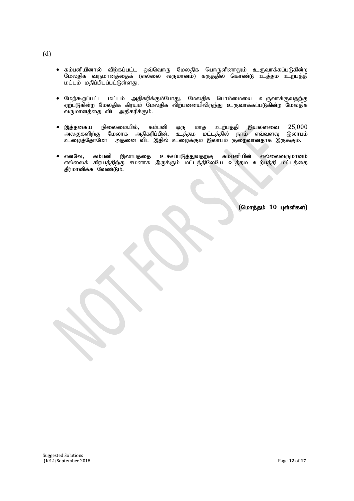- ் கம்பனியினால் விற்கப்பட்ட ஒவ்வொரு மேலதிக பொருளினாலும் உருவாக்கப்படுகின்ற மேலதிக வருமானத்தைக் (எல்லை வருமானம்) கருத்தில் கொண்டு உத்தம உற்பத்தி மட்டம் மதிப்பிடப்பட்டுள்ளது.
- மேற்கூறப்பட்ட மட்டம் அதிகரிக்கும்போது, மேலதிக பொம்மையை உருவாக்குவதற்கு ஏற்படுகின்ற மேலதிக கிரயம் மேலதிக விற்பனையிலிருந்து உருவாக்கப்படுகின்ற மேலதிக ்டி மானத்தை விட அதிகரிக்கும்.
- $\bullet$  இத்தகைய நிலைமையில், கம்பனி ஒரு மாத உற்பத்தி இயலளவை  $25{,}000$ அலகுகளிற்கு மேலாக அதிகரிப்பின், உத்தம மட்டத்தில் நாம் எவ்வளவு இலாபம் cioj;NjhNkh mjid tpl ,jpy; ciof;Fk ; ,yhgk; Fiwthdjhf ,Uf;Fk;.
- எனவே, கம்பனி இலாபத்தை உச்சப்படுத்துவதற்கு கம்பனியின் எல்லைவருமானம் எல்லைக் கிரயத்திற்கு சமனாக இருக்கும் மட்டத்திலேயே உத்தம உற்பத்தி மட்டத்தை தீர்மானிக்க வேண்டும்.

(மொத்தம் 10 புள்ளிகள்)

(d)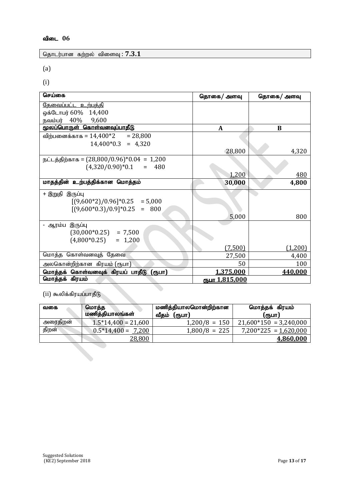தொடர்பான கற்றல் விளைவு : 7.3.1

(a)

(i)

| செய்கை                                           | தொகை/ அளவு            | தொகை/ அளவு |
|--------------------------------------------------|-----------------------|------------|
| <u>தேவைப்பட்ட உற்பத்தி</u>                       |                       |            |
| ஒக்டோபர் 60% 14,400                              |                       |            |
| நவம்பர் $40\%$<br>9,600                          |                       |            |
| <u>மூலப்பொருள் கொள்வனவுப்பாதீடு</u>              | A                     | B          |
| விற்பனைக்காக = $14$ , $400^\ast2$<br>$= 28,800$  |                       |            |
| $14,400*0.3 = 4,320$                             |                       |            |
|                                                  | 28,800                | 4,320      |
| நட்டத்திற்காக = $(28,800/0.96)$ * $0.04 = 1,200$ |                       |            |
| $(4,320/0.90)*0.1 = 480$                         |                       |            |
|                                                  | 1,200                 | 480        |
| மாதத்தின் உற்பத்திக்கான மொத்தம்                  | 30,000                | 4,800      |
| + இறுதி இருப்பு                                  |                       |            |
| $[(9,600*2)/0.96]*0.25 = 5,000$                  |                       |            |
| $[(9,600*0.3)/0.9]*0.25$<br>$= 800$              |                       |            |
|                                                  | 5,000                 | 800        |
| - ஆரம்ப இருப்பு                                  |                       |            |
| $(30,000*0.25) = 7,500$                          |                       |            |
| $(4,800*0.25) = 1,200$                           |                       |            |
|                                                  | (7.500)               | (1,200)    |
| மொத்த கொள்வனவுத் தேவை                            | 27,500                | 4,400      |
| அலகொன்றிற்கான கிரயம் (ரூபா)                      | 50                    | 100        |
| மொத்தக் கொள்வனவுக் கிரயப் பாதீடு (ரூபா)          | 1,375,000             | 440,000    |
| மொத்தக் கிரயம்                                   | <u>ரூபா 1,815,000</u> |            |

 $(\mathrm{ii})$  கூலிக்கிரயப்பாதீடு

| மொத்த<br>வகை |                      | மணித்தியாலமொன்றிற்கான | மொத்தக் கிரயம்           |  |
|--------------|----------------------|-----------------------|--------------------------|--|
|              | மணித்தியாலங்கள்      | (ரூபா)<br>வீதம்       | (ரூபா)                   |  |
| அரைதிறன்     | $1.5*14,400=21,600$  | $1,200/8 = 150$       | $21,600*150 = 3,240,000$ |  |
| திறன்        | $0.5*14,400 = 7,200$ | $1,800/8 = 225$       | $7,200*225 = 1,620,000$  |  |
|              | 28,800               |                       | 4,860,000                |  |
|              |                      |                       |                          |  |

۰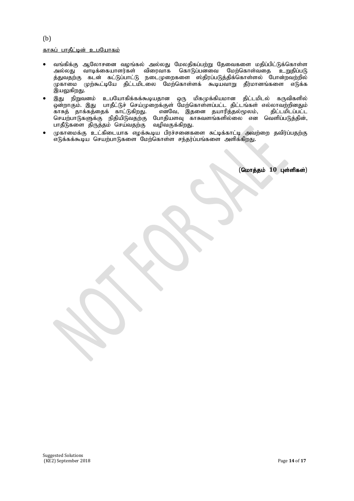### காசுப் பாகீட்டின் உபயோகம்

- வங்கிக்கு ஆலோசனை வழங்கல் அல்லது மேலதிகப்பற்று தேவைகளை மதிப்பிட்டுக்கொள்ள<br>அல்லது வாடிக்கையாளர்கள் விரைவாக கொடுப்பனவை மேற்கொள்வதை உறுதிப்படு அல்லது வாடிக்கையாளர்கள் விரைவாக கொடுப்பனவை த்துவதற்கு கடன் கட்டுப்பாட்டு நடைமுறைகளை ஸ்திரப்படுத்திக்கொள்ளல் போன்றவற்றில் முகாமை முற்கூட்டியே திட்டமிடலை மேற்கொள்ளக் கூடியவாறு தீர்மானங்களை எடுக்க இயலுகிறது.
- இது நிறுவனம் உபயோகிக்கக்கூடியதான ஒரு மிகமுக்கியமான திட்டமிடல் கருவிகளில் xd;whFk;. ,J ghjPl;Lr; nra;Kiwf;Fs; Nkw;nfhs;sg;gl;l jpl;lq;fs ; vy;yhtw;wpdJk; காசுத் தாக்கத்தைக் காட்டுகிறது. எனவே, இதனை தயாரித்தல்மூலம், திட்டமிடப்பட்ட செயற்பாடுகளுக்கு நிதியிடுவதற்கு போதியளவு காசுவளங்களில்லை என வெளிப்படுத்தின், பாதீடுகளை திருத்தம் செய்வதற்கு வழிவகுக்கிறது.
- முகாமைக்கு உட்கிடையாக எழக்கூடிய பிரச்சனைகளை சுட்டிக்காட்டி அவற்றை தவிர்ப்பதற்கு எடுக்கக்கூடிய செயற்பாடுகளை மேற்கொள்ள சந்தர்ப்பங்களை அளிக்கிறது.

i, Í.

Ņ

(மொத்தம் 10 புள்ளிகள்)

#### (b)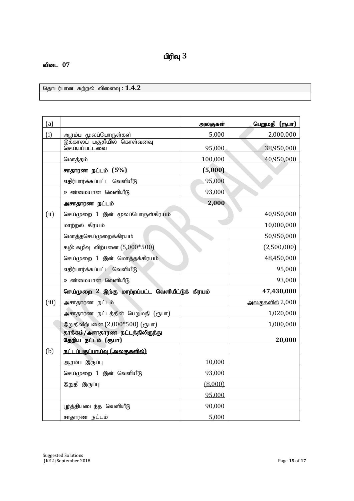# $\mathbf{u}$ ரிவு  $3$

### விடை 07

தொடர்பான கற்றல் விளைவு : 1.4.2

| (a)   |                                                  | அலகுகள்    | பெறுமதி (ரூபா)         |
|-------|--------------------------------------------------|------------|------------------------|
| (i)   | ஆரம்ப மூலப்பொருள்கள்                             | 5,000      | 2,000,000              |
|       | இக்காலப் பகுதியில் கொள்வனவு<br>செய்யப்பட்டவை     | 95,000     | 38,950,000             |
|       | மொத்தம்                                          | 100,000    | 40,950,000             |
|       | சாதாரண நட்டம் (5%)                               | (5,000)    |                        |
|       | எதிர்பார்க்கப்பட்ட வெளியீடு                      | 95,000     |                        |
|       | உண்மையான வெளியீடு                                | 93,000     |                        |
|       | அசாதாரண நட்டம்                                   | 2,000      |                        |
| (ii)  | செய்முறை 1 இன் மூலப்பொருள்கிரயம்                 |            | 40,950,000             |
|       | மாற்றல் கிரயம்                                   |            | 10,000,000             |
|       | மொத்தசெய்முறைக்கிரயம்                            |            | 50,950,000             |
|       | கழி: கழிவு விற்பனை (5,000*500)                   |            | (2,500,000)            |
|       | செய்முறை 1 இன் மொத்தக்கிரயம்                     |            | 48,450,000             |
|       | எதிர்பார்க்கப்பட்ட வெளியீடு                      |            | 95,000                 |
|       | உண்மையான வெளியீடு                                |            | 93,000                 |
|       | செய்முறை 2 இற்கு மாற்றப்பட்ட வெளியீட்டுக் கிரயம் | 47,430,000 |                        |
| (iii) | அசாதாரண நட்டம்                                   |            | <u>அலகுகளில்</u> 2,000 |
|       | அசாதாரண நட்டத்தின் பெறுமதி (ரூபா)                |            | 1,020,000              |
|       | இறுதிவிற்பனை (2,000*500) (ரூபா)                  |            | 1,000,000              |
|       | தாக்கம்/அசாதாரண நட்டத்திலிருந்து                 |            |                        |
|       | தேறிய நட்டம் (ரூபா)                              |            | 20,000                 |
| (b)   | நட்டப்பகுப்பாய்வு (அலகுகளில்)                    |            |                        |
|       | ஆரம்ப இருப்பு                                    | 10,000     |                        |
|       | செய்முறை 1 இன் வெளியீடு                          | 93,000     |                        |
|       | இறுதி இருப்பு                                    | (8,000)    |                        |
|       |                                                  | 95,000     |                        |
|       | பூர்த்தியடைந்த வெளியீடு                          | 90,000     |                        |
|       | சாதாரண நட்டம்                                    | 5,000      |                        |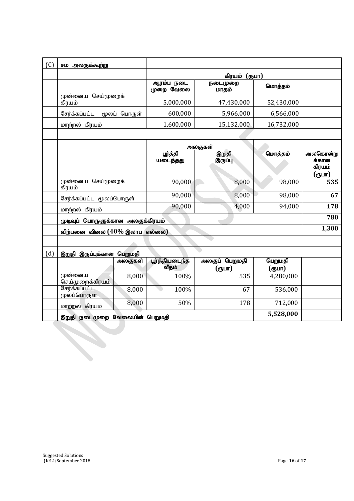| (C) | சம அலகுக்கூற்று                             |         |                         |                          |                   |                                       |
|-----|---------------------------------------------|---------|-------------------------|--------------------------|-------------------|---------------------------------------|
|     |                                             |         | கிரயம் (ரூபா)           |                          |                   |                                       |
|     |                                             |         | ஆரம்ப நடை<br>முறை வேலை  | நடைமுறை<br>மாதம்         | மொத்தம்           |                                       |
|     | முன்னைய செய்முறைக்<br>கிரயம்                |         | 5,000,000               | 47,430,000               | 52,430,000        |                                       |
|     | சேர்க்கப்பட்ட<br>மூலப் பொருள்               |         | 600,000                 | 5,966,000                | 6,566,000         |                                       |
|     | மாற்றல் கிரயம்                              |         | 1,600,000               | 15,132,000               | 16,732,000        |                                       |
|     |                                             |         |                         |                          |                   |                                       |
|     |                                             |         |                         | அலகுகள்                  |                   |                                       |
|     |                                             |         | ழுந்தி<br>யடைந்தது      | இறுதி<br>இருப்பு         | மொத்தம்           | அலகொன்று<br>க்கான<br>கிரயம்<br>(ரூபா) |
|     | முன்னைய செய்முறைக்<br>கிரயம்                |         | 90,000                  | 8,000                    | 98,000            | 535                                   |
|     | சேர்க்கப்பட்ட மூலப்பொருள்                   |         | 90,000                  | 8,000                    | 98,000            | 67                                    |
|     | மாற்றல் கிரயம்                              |         | 90,000                  | 4,000                    | 94,000            | 178                                   |
|     | முடிவுப் பொருளுக்கான அலகுக்கிரயம்           |         |                         |                          | 780               |                                       |
|     | விற்பனை விலை (40% இலாப எல்லை)               |         |                         |                          | 1,300             |                                       |
|     |                                             |         |                         |                          |                   |                                       |
| (d) | இறுதி இருப்புக்கான பெறுமதி                  |         |                         |                          |                   |                                       |
|     |                                             | அலகுகள் | பூர்த்தியடைந்த<br>வீதம் | அலகுப் பெறுமதி<br>(ரூபா) | பெறுமதி<br>(ருபா) |                                       |
|     | முன்னைய<br>செய்முறைக்கிரயம்                 | 8,000   | 100%                    | 535                      | 4,280,000         |                                       |
|     | சேர்க்கப்பட்ட<br>மூலப்பொருள்                | 8,000   | 100%                    | 67                       | 536,000           |                                       |
|     | மாற்றல் கிரயம்                              | 8,000   | 50%                     | 178                      | 712,000           |                                       |
|     | 5,528,000<br>இறுதி நடைமுறை வேலையின் பெறுமதி |         |                         |                          |                   |                                       |
|     |                                             |         |                         |                          |                   |                                       |